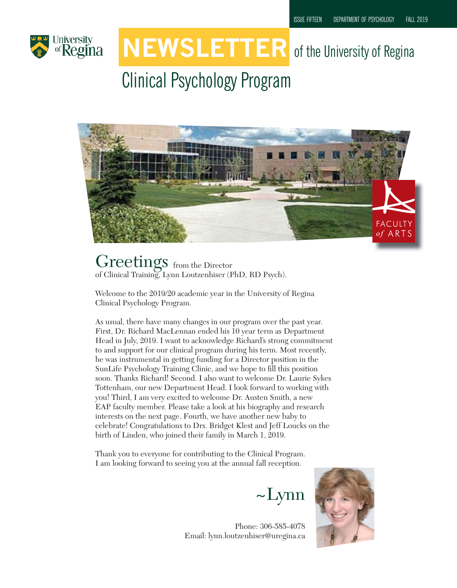

# **NEWSLETTER** of the University of Regina

## Clinical Psychology Program



Greetings from the Director of Clinical Training, Lynn Loutzenhiser (PhD, RD Psych).

Welcome to the 2019/20 academic year in the University of Regina Clinical Psychology Program.

As usual, there have many changes in our program over the past year. First, Dr. Richard MacLennan ended his 10 year term as Department Head in July, 2019. I want to acknowledge Richard's strong commitment to and support for our clinical program during his term. Most recently, he was instrumental in getting funding for a Director position in the SunLife Psychology Training Clinic, and we hope to fill this position soon. Thanks Richard! Second. I also want to welcome Dr. Laurie Sykes Tottenham, our new Department Head. I look forward to working with you! Third, I am very excited to welcome Dr. Austen Smith, a new EAP faculty member. Please take a look at his biography and research interests on the next page. Fourth, we have another new baby to celebrate! Congratulations to Drs. Bridget Klest and Jeff Loucks on the birth of Linden, who joined their family in March 1, 2019.

Thank you to everyone for contributing to the Clinical Program. I am looking forward to seeing you at the annual fall reception.

 $\sim$ Lynn



Phone: 306-585-4078 Email: lynn.loutzenhiser@uregina.ca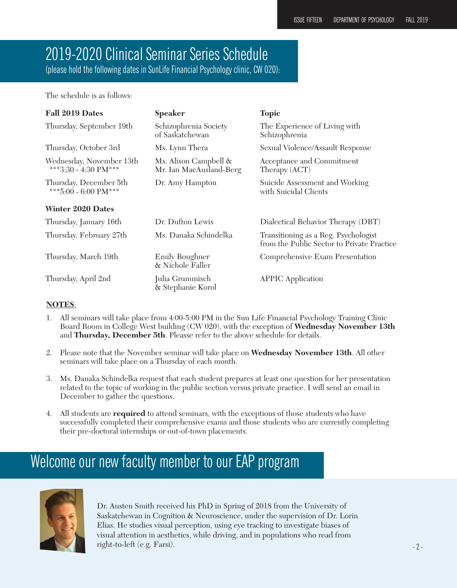### 2019-2020 Clinical Seminar Series Schedule

(please hold the following dates in SunLife Financial Psychology clinic, CW 020):

The schedule is as follows:

| Fall 2019 Dates                                  | <b>Speaker</b>                                   | <b>Topic</b>                                                                       |
|--------------------------------------------------|--------------------------------------------------|------------------------------------------------------------------------------------|
| Thursday, September 19th                         | Schizophrenia Society<br>of Saskatchewan         | The Experience of Living with<br>Schizophrenia                                     |
| Thursday, October 3rd                            | Ms. Lynn Thera                                   | Sexual Violence/Assault Response                                                   |
| Wednesday, November 13th<br>***3:30 - 4:30 PM*** | Ms. Alison Campbell &<br>Mr. Ian MacAusland-Berg | Acceptance and Commitment<br>Therapy (ACT)                                         |
| Thursday, December 5th<br>***5:00 - 6:00 PM***   | Dr. Amy Hampton                                  | Suicide Assessment and Working<br>with Suicidal Clients                            |
| <b>Winter 2020 Dates</b>                         |                                                  |                                                                                    |
| Thursday, January 16th                           | Dr. Dufton Lewis                                 | Dialectical Behavior Therapy (DBT)                                                 |
| Thursday, February 27th                          | Ms. Danaka Schindelka                            | Transitioning as a Reg. Psychologist<br>from the Public Sector to Private Practice |
| Thursday, March 19th                             | Emily Boughner<br>& Nichole Faller               | Comprehensive Exam Presentation                                                    |
| Thursday, April 2nd                              | Julia Grummisch<br>& Stephanie Korol             | <b>APPIC</b> Application                                                           |

#### **NOTES**:

- 1. All seminars will take place from 4:00-5:00 PM in the Sun Life Financial Psychology Training Clinic Board Room in College West building (CW 020), with the exception of **Wednesday November 13th** and **Thursday, December 5th**. Pleasse refer to the above schedule for details.
- 2. Please note that the November seminar will take place on **Wednesday November 13th**. All other seminars will take place on a Thursday of each month.
- 3. Ms. Danaka Schindelka request that each student prepares at least one question for her presentation related to the topic of working in the public section versus private practice. I will send an email in December to gather the questions.
- 4. All students are **required** to attend seminars, with the exceptions of those students who have successfully completed their comprehensive exams and those students who are currently completing their pre-doctoral internships or out-of-town placements.

### Welcome our new faculty member to our EAP program



Dr. Austen Smith received his PhD in Spring of 2018 from the University of Saskatchewan in Cognition & Neuroscience, under the supervision of Dr. Lorin Elias. He studies visual perception, using eye tracking to investigate biases of visual attention in aesthetics, while driving, and in populations who read from right-to-left (e.g. Farsi).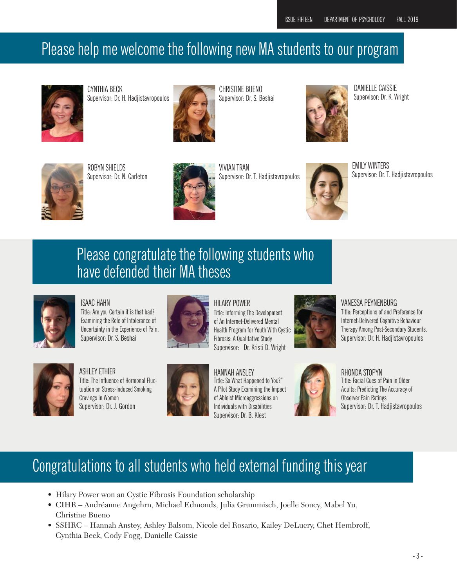### Please help me welcome the following new MA students to our program



CYNTHIA BECK Supervisor: Dr. H. Hadjistavropoulos



CHRISTINE BUENO Supervisor: Dr. S. Beshai



DANIELLE CAISSIE Supervisor: Dr. K. Wright



ROBYN SHIELDS Supervisor: Dr. N. Carleton



VIVIAN TRAN Supervisor: Dr. T. Hadjistavropoulos



EMILY WINTERS Supervisor: Dr. T. Hadjistavropoulos

### Please congratulate the following students who have defended their MA theses



ISAAC HAHN Title: Are you Certain it is that bad? Examining the Role of Intolerance of Uncertainty in the Experience of Pain. Supervisor: Dr. S. Beshai



HILARY POWER Title: Informing The Development of An Internet-Delivered Mental Health Program for Youth With Cystic Fibrosis: A Qualitative Study Supervisor: Dr. Kristi D. Wright



VANESSA PEYNENBURG Title: Perceptions of and Preference for Internet-Delivered Cognitive Behaviour Therapy Among Post-Secondary Students.

Supervisor: Dr. H. Hadjistavropoulos



ASHLEY ETHIER Title: The Influence of Hormonal Fluctuation on Stress-Induced Smoking Cravings in Women Supervisor: Dr. J. Gordon



HANNAH ANSLEY Title: So What Happened to You?" A Pilot Study Examining the Impact of Ableist Microaggressions on Individuals with Disabilities Supervisor: Dr. B. Klest



RHONDA STOPYN Title: Facial Cues of Pain in Older Adults: Predicting The Accuracy of Observer Pain Ratings Supervisor: Dr. T. Hadjistavropoulos

### Congratulations to all students who held external funding this year

- Hilary Power won an Cystic Fibrosis Foundation scholarship
- CIHR Andréanne Angehrn, Michael Edmonds, Julia Grummisch, Joelle Soucy, Mabel Yu, Christine Bueno
- SSHRC Hannah Anstey, Ashley Balsom, Nicole del Rosario, Kailey DeLucry, Chet Hembroff, Cynthia Beck, Cody Fogg, Danielle Caissie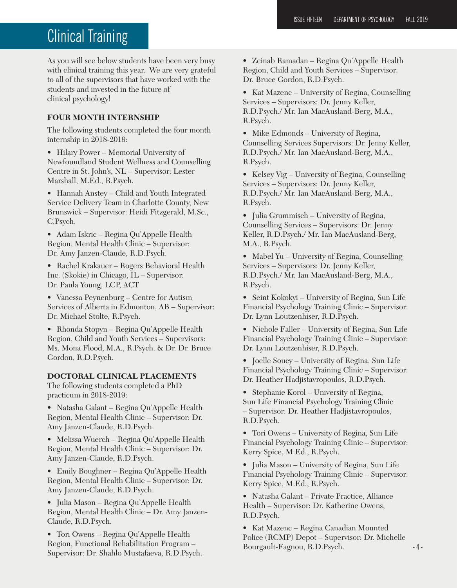### Clinical Training

As you will see below students have been very busy with clinical training this year. We are very grateful to all of the supervisors that have worked with the students and invested in the future of clinical psychology!

#### **FOUR MONTH INTERNSHIP**

The following students completed the four month internship in 2018-2019:

• Hilary Power – Memorial University of Newfoundland Student Wellness and Counselling Centre in St. John's, NL – Supervisor: Lester Marshall, M.Ed., R.Psych.

• Hannah Anstey – Child and Youth Integrated Service Delivery Team in Charlotte County, New Brunswick – Supervisor: Heidi Fitzgerald, M.Sc., C.Psych.

• Adam Iskric – Regina Qu'Appelle Health Region, Mental Health Clinic – Supervisor: Dr. Amy Janzen-Claude, R.D.Psych.

• Rachel Krakauer – Rogers Behavioral Health Inc. (Skokie) in Chicago, IL – Supervisor: Dr. Paula Young, LCP, ACT

• Vanessa Peynenburg – Centre for Autism Services of Alberta in Edmonton, AB – Supervisor: Dr. Michael Stolte, R.Psych.

• Rhonda Stopyn – Regina Qu'Appelle Health Region, Child and Youth Services – Supervisors: Ms. Mona Flood, M.A., R.Psych. & Dr. Dr. Bruce Gordon, R.D.Psych.

#### **DOCTORAL CLINICAL PLACEMENTS**

The following students completed a PhD practicum in 2018-2019:

• Natasha Galant – Regina Qu'Appelle Health Region, Mental Health Clinic – Supervisor: Dr. Amy Janzen-Claude, R.D.Psych.

• Melissa Wuerch – Regina Qu'Appelle Health Region, Mental Health Clinic – Supervisor: Dr. Amy Janzen-Claude, R.D.Psych.

• Emily Boughner – Regina Qu'Appelle Health Region, Mental Health Clinic – Supervisor: Dr. Amy Janzen-Claude, R.D.Psych.

• Julia Mason – Regina Qu'Appelle Health Region, Mental Health Clinic – Dr. Amy Janzen-Claude, R.D.Psych.

• Tori Owens – Regina Qu'Appelle Health Region, Functional Rehabilitation Program – Supervisor: Dr. Shahlo Mustafaeva, R.D.Psych. • Zeinab Ramadan – Regina Qu'Appelle Health Region, Child and Youth Services – Supervisor: Dr. Bruce Gordon, R.D.Psych.

• Kat Mazenc – University of Regina, Counselling Services – Supervisors: Dr. Jenny Keller, R.D.Psych./ Mr. Ian MacAusland-Berg, M.A., R.Psych.

• Mike Edmonds – University of Regina, Counselling Services Supervisors: Dr. Jenny Keller, R.D.Psych./ Mr. Ian MacAusland-Berg, M.A., R.Psych.

• Kelsey Vig – University of Regina, Counselling Services – Supervisors: Dr. Jenny Keller, R.D.Psych./ Mr. Ian MacAusland-Berg, M.A., R.Psych.

• Julia Grummisch – University of Regina, Counselling Services – Supervisors: Dr. Jenny Keller, R.D.Psych./ Mr. Ian MacAusland-Berg, M.A., R.Psych.

• Mabel Yu – University of Regina, Counselling Services – Supervisors: Dr. Jenny Keller, R.D.Psych./ Mr. Ian MacAusland-Berg, M.A., R.Psych.

• Seint Kokokyi – University of Regina, Sun Life Financial Psychology Training Clinic – Supervisor: Dr. Lynn Loutzenhiser, R.D.Psych.

• Nichole Faller – University of Regina, Sun Life Financial Psychology Training Clinic – Supervisor: Dr. Lynn Loutzenhiser, R.D.Psych.

• Joelle Soucy – University of Regina, Sun Life Financial Psychology Training Clinic – Supervisor: Dr. Heather Hadjistavropoulos, R.D.Psych.

• Stephanie Korol – University of Regina, Sun Life Financial Psychology Training Clinic – Supervisor: Dr. Heather Hadjistavropoulos, R.D.Psych.

• Tori Owens – University of Regina, Sun Life Financial Psychology Training Clinic – Supervisor: Kerry Spice, M.Ed., R.Psych.

• Julia Mason – University of Regina, Sun Life Financial Psychology Training Clinic – Supervisor: Kerry Spice, M.Ed., R.Psych.

• Natasha Galant – Private Practice, Alliance Health – Supervisor: Dr. Katherine Owens, R.D.Psych.

• Kat Mazenc – Regina Canadian Mounted Police (RCMP) Depot – Supervisor: Dr. Michelle Bourgault-Fagnou, R.D.Psych.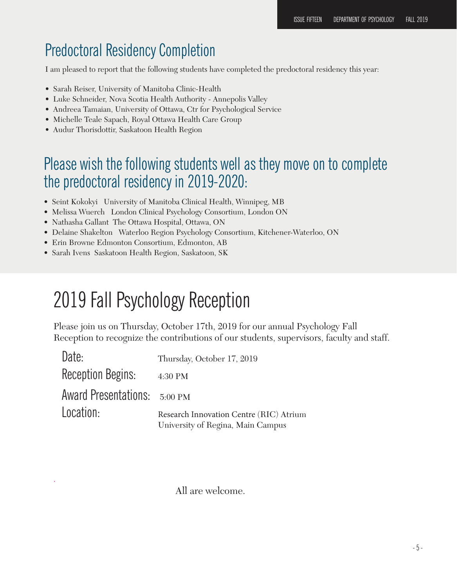### Predoctoral Residency Completion

I am pleased to report that the following students have completed the predoctoral residency this year:

- Sarah Reiser, University of Manitoba Clinic-Health
- Luke Schneider, Nova Scotia Health Authority Annepolis Valley
- Andreea Tamaian, University of Ottawa, Ctr for Psychological Service
- Michelle Teale Sapach, Royal Ottawa Health Care Group
- Audur Thorisdottir, Saskatoon Health Region

### Please wish the following students well as they move on to complete the predoctoral residency in 2019-2020:

- Seint Kokokyi University of Manitoba Clinical Health, Winnipeg, MB
- Melissa Wuerch London Clinical Psychology Consortium, London ON
- Nathasha Gallant The Ottawa Hospital, Ottawa, ON
- Delaine Shakelton Waterloo Region Psychology Consortium, Kitchener-Waterloo, ON
- Erin Browne Edmonton Consortium, Edmonton, AB
- Sarah Ivens Saskatoon Health Region, Saskatoon, SK

.

## 2019 Fall Psychology Reception

Please join us on Thursday, October 17th, 2019 for our annual Psychology Fall Reception to recognize the contributions of our students, supervisors, faculty and staff.

| Date:                        | Thursday, October 17, 2019                                                   |
|------------------------------|------------------------------------------------------------------------------|
| <b>Reception Begins:</b>     | 4:30 PM                                                                      |
| Award Presentations: 5:00 PM |                                                                              |
| Location:                    | Research Innovation Centre (RIC) Atrium<br>University of Regina, Main Campus |

All are welcome.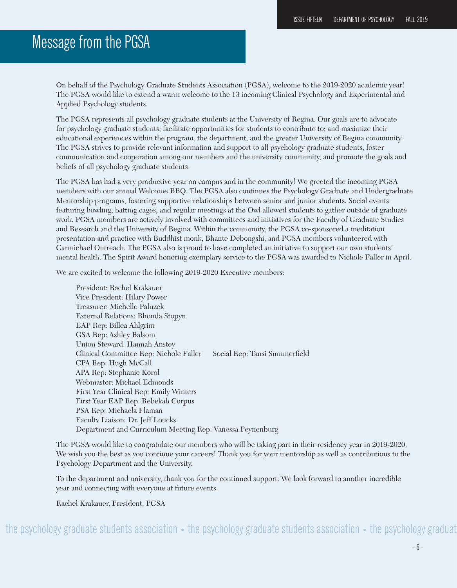### Message from the PGSA

On behalf of the Psychology Graduate Students Association (PGSA), welcome to the 2019-2020 academic year! The PGSA would like to extend a warm welcome to the 13 incoming Clinical Psychology and Experimental and Applied Psychology students.

The PGSA represents all psychology graduate students at the University of Regina. Our goals are to advocate for psychology graduate students; facilitate opportunities for students to contribute to; and maximize their educational experiences within the program, the department, and the greater University of Regina community. The PGSA strives to provide relevant information and support to all psychology graduate students, foster communication and cooperation among our members and the university community, and promote the goals and beliefs of all psychology graduate students.

The PGSA has had a very productive year on campus and in the community! We greeted the incoming PGSA members with our annual Welcome BBQ. The PGSA also continues the Psychology Graduate and Undergraduate Mentorship programs, fostering supportive relationships between senior and junior students. Social events featuring bowling, batting cages, and regular meetings at the Owl allowed students to gather outside of graduate work. PGSA members are actively involved with committees and initiatives for the Faculty of Graduate Studies and Research and the University of Regina. Within the community, the PGSA co-sponsored a meditation presentation and practice with Buddhist monk, Bhante Debongshi, and PGSA members volunteered with Carmichael Outreach. The PGSA also is proud to have completed an initiative to support our own students' mental health. The Spirit Award honoring exemplary service to the PGSA was awarded to Nichole Faller in April.

We are excited to welcome the following 2019-2020 Executive members:

President: Rachel Krakauer Vice President: Hilary Power Treasurer: Michelle Paluzek External Relations: Rhonda Stopyn EAP Rep: Billea Ahlgrim GSA Rep: Ashley Balsom Union Steward: Hannah Anstey Clinical Committee Rep: Nichole Faller Social Rep: Tansi Summerfield CPA Rep: Hugh McCall APA Rep: Stephanie Korol Webmaster: Michael Edmonds First Year Clinical Rep: Emily Winters First Year EAP Rep: Rebekah Corpus PSA Rep: Michaela Flaman Faculty Liaison: Dr. Jeff Loucks Department and Curriculum Meeting Rep: Vanessa Peynenburg

The PGSA would like to congratulate our members who will be taking part in their residency year in 2019-2020. We wish you the best as you continue your careers! Thank you for your mentorship as well as contributions to the Psychology Department and the University.

To the department and university, thank you for the continued support. We look forward to another incredible year and connecting with everyone at future events.

Rachel Krakauer, President, PGSA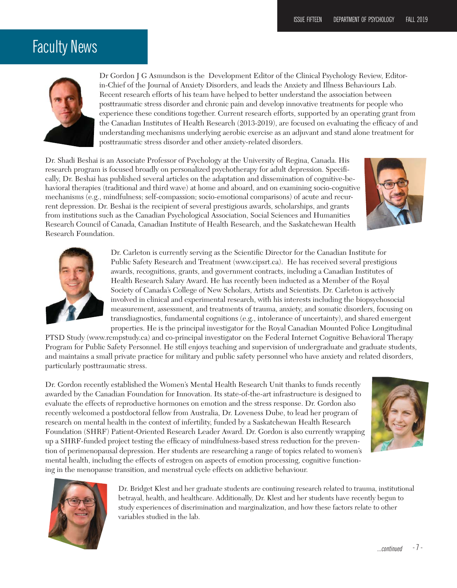### Faculty News



Dr Gordon J G Asmundson is the Development Editor of the Clinical Psychology Review, Editorin-Chief of the Journal of Anxiety Disorders, and leads the Anxiety and Illness Behaviours Lab. Recent research efforts of his team have helped to better understand the association between posttraumatic stress disorder and chronic pain and develop innovative treatments for people who experience these conditions together. Current research efforts, supported by an operating grant from the Canadian Institutes of Health Research (2013-2019), are focused on evaluating the efficacy of and understanding mechanisms underlying aerobic exercise as an adjuvant and stand alone treatment for posttraumatic stress disorder and other anxiety-related disorders.

Dr. Shadi Beshai is an Associate Professor of Psychology at the University of Regina, Canada. His research program is focused broadly on personalized psychotherapy for adult depression. Specifically, Dr. Beshai has published several articles on the adaptation and dissemination of cognitive-behavioral therapies (traditional and third wave) at home and aboard, and on examining socio-cognitive mechanisms (e.g., mindfulness; self-compassion; socio-emotional comparisons) of acute and recurrent depression. Dr. Beshai is the recipient of several prestigious awards, scholarships, and grants from institutions such as the Canadian Psychological Association, Social Sciences and Humanities Research Council of Canada, Canadian Institute of Health Research, and the Saskatchewan Health Research Foundation.





Dr. Carleton is currently serving as the Scientific Director for the Canadian Institute for Public Safety Research and Treatment (www.cipsrt.ca). He has received several prestigious awards, recognitions, grants, and government contracts, including a Canadian Institutes of Health Research Salary Award. He has recently been inducted as a Member of the Royal Society of Canada's College of New Scholars, Artists and Scientists. Dr. Carleton is actively involved in clinical and experimental research, with his interests including the biopsychosocial measurement, assessment, and treatments of trauma, anxiety, and somatic disorders, focusing on transdiagnostics, fundamental cognitions (e.g., intolerance of uncertainty), and shared emergent properties. He is the principal investigator for the Royal Canadian Mounted Police Longitudinal

PTSD Study (www.rcmpstudy.ca) and co-principal investigator on the Federal Internet Cognitive Behavioral Therapy Program for Public Safety Personnel. He still enjoys teaching and supervision of undergraduate and graduate students, and maintains a small private practice for military and public safety personnel who have anxiety and related disorders, particularly posttraumatic stress.

Dr. Gordon recently established the Women's Mental Health Research Unit thanks to funds recently awarded by the Canadian Foundation for Innovation. Its state-of-the-art infrastructure is designed to evaluate the effects of reproductive hormones on emotion and the stress response. Dr. Gordon also recently welcomed a postdoctoral fellow from Australia, Dr. Loveness Dube, to lead her program of research on mental health in the context of infertility, funded by a Saskatchewan Health Research Foundation (SHRF) Patient-Oriented Research Leader Award. Dr. Gordon is also currently wrapping up a SHRF-funded project testing the efficacy of mindfulness-based stress reduction for the prevention of perimenopausal depression. Her students are researching a range of topics related to women's mental health, including the effects of estrogen on aspects of emotion processing, cognitive functioning in the menopause transition, and menstrual cycle effects on addictive behaviour.





Dr. Bridget Klest and her graduate students are continuing research related to trauma, institutional betrayal, health, and healthcare. Additionally, Dr. Klest and her students have recently begun to study experiences of discrimination and marginalization, and how these factors relate to other variables studied in the lab.